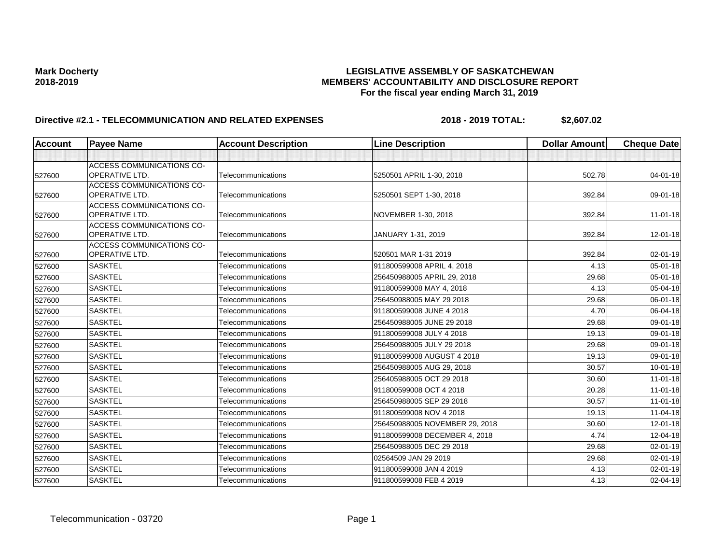| Account | <b>Payee Name</b>                                  | <b>Account Description</b> | <b>Line Description</b>        | <b>Dollar Amount</b> | <b>Cheque Date</b> |
|---------|----------------------------------------------------|----------------------------|--------------------------------|----------------------|--------------------|
|         |                                                    |                            |                                |                      |                    |
|         | <b>ACCESS COMMUNICATIONS CO-</b>                   |                            |                                |                      |                    |
| 527600  | <b>OPERATIVE LTD.</b>                              | Telecommunications         | 5250501 APRIL 1-30, 2018       | 502.78               | $04 - 01 - 18$     |
|         | <b>ACCESS COMMUNICATIONS CO-</b>                   |                            |                                |                      |                    |
| 527600  | <b>OPERATIVE LTD.</b>                              | Telecommunications         | 5250501 SEPT 1-30, 2018        | 392.84               | 09-01-18           |
|         | <b>ACCESS COMMUNICATIONS CO-</b><br>OPERATIVE LTD. |                            |                                |                      |                    |
| 527600  | <b>ACCESS COMMUNICATIONS CO-</b>                   | Telecommunications         | NOVEMBER 1-30, 2018            | 392.84               | $11 - 01 - 18$     |
| 527600  | OPERATIVE LTD.                                     | Telecommunications         | JANUARY 1-31, 2019             | 392.84               | 12-01-18           |
|         | <b>ACCESS COMMUNICATIONS CO-</b>                   |                            |                                |                      |                    |
| 527600  | <b>OPERATIVE LTD.</b>                              | Telecommunications         | 520501 MAR 1-31 2019           | 392.84               | $02 - 01 - 19$     |
| 527600  | <b>SASKTEL</b>                                     | Telecommunications         | 911800599008 APRIL 4, 2018     | 4.13                 | 05-01-18           |
| 527600  | <b>SASKTEL</b>                                     | Telecommunications         | 256450988005 APRIL 29, 2018    | 29.68                | 05-01-18           |
| 527600  | <b>SASKTEL</b>                                     | Telecommunications         | 911800599008 MAY 4, 2018       | 4.13                 | 05-04-18           |
| 527600  | <b>SASKTEL</b>                                     | Telecommunications         | 256450988005 MAY 29 2018       | 29.68                | 06-01-18           |
| 527600  | <b>SASKTEL</b>                                     | Telecommunications         | 911800599008 JUNE 4 2018       | 4.70                 | 06-04-18           |
| 527600  | <b>SASKTEL</b>                                     | Telecommunications         | 256450988005 JUNE 29 2018      | 29.68                | 09-01-18           |
| 527600  | <b>SASKTEL</b>                                     | Telecommunications         | 911800599008 JULY 4 2018       | 19.13                | 09-01-18           |
| 527600  | <b>SASKTEL</b>                                     | Telecommunications         | 256450988005 JULY 29 2018      | 29.68                | 09-01-18           |
| 527600  | <b>SASKTEL</b>                                     | Telecommunications         | 911800599008 AUGUST 4 2018     | 19.13                | 09-01-18           |
| 527600  | <b>SASKTEL</b>                                     | Telecommunications         | 256450988005 AUG 29, 2018      | 30.57                | $10 - 01 - 18$     |
| 527600  | <b>SASKTEL</b>                                     | Telecommunications         | 256405988005 OCT 29 2018       | 30.60                | $11-01-18$         |
| 527600  | <b>SASKTEL</b>                                     | Telecommunications         | 911800599008 OCT 4 2018        | 20.28                | $11-01-18$         |
| 527600  | <b>SASKTEL</b>                                     | Telecommunications         | 256450988005 SEP 29 2018       | 30.57                | $11 - 01 - 18$     |
| 527600  | <b>SASKTEL</b>                                     | Telecommunications         | 911800599008 NOV 4 2018        | 19.13                | $11-04-18$         |
| 527600  | <b>SASKTEL</b>                                     | Telecommunications         | 256450988005 NOVEMBER 29, 2018 | 30.60                | 12-01-18           |
| 527600  | <b>SASKTEL</b>                                     | Telecommunications         | 911800599008 DECEMBER 4, 2018  | 4.74                 | 12-04-18           |
| 527600  | <b>SASKTEL</b>                                     | Telecommunications         | 256450988005 DEC 29 2018       | 29.68                | 02-01-19           |
| 527600  | <b>SASKTEL</b>                                     | Telecommunications         | 02564509 JAN 29 2019           | 29.68                | 02-01-19           |
| 527600  | <b>SASKTEL</b>                                     | Telecommunications         | 911800599008 JAN 4 2019        | 4.13                 | 02-01-19           |
| 527600  | <b>SASKTEL</b>                                     | Telecommunications         | 911800599008 FEB 4 2019        | 4.13                 | 02-04-19           |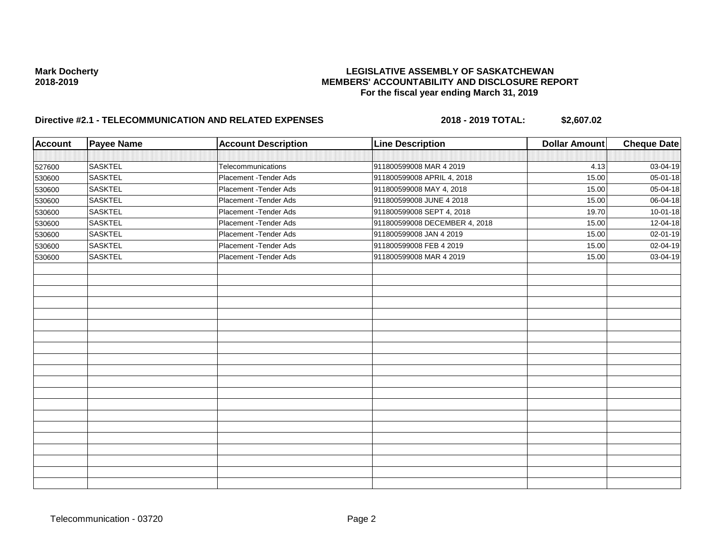| <b>Account</b> | <b>Payee Name</b> | <b>Account Description</b> | <b>Line Description</b>       | <b>Dollar Amount</b> | <b>Cheque Date</b> |
|----------------|-------------------|----------------------------|-------------------------------|----------------------|--------------------|
|                |                   |                            |                               |                      |                    |
| 527600         | <b>SASKTEL</b>    | Telecommunications         | 911800599008 MAR 4 2019       | 4.13                 | 03-04-19           |
| 530600         | <b>SASKTEL</b>    | Placement - Tender Ads     | 911800599008 APRIL 4, 2018    | 15.00                | 05-01-18           |
| 530600         | <b>SASKTEL</b>    | Placement - Tender Ads     | 911800599008 MAY 4, 2018      | 15.00                | 05-04-18           |
| 530600         | <b>SASKTEL</b>    | Placement - Tender Ads     | 911800599008 JUNE 4 2018      | 15.00                | 06-04-18           |
| 530600         | <b>SASKTEL</b>    | Placement - Tender Ads     | 911800599008 SEPT 4, 2018     | 19.70                | $10 - 01 - 18$     |
| 530600         | <b>SASKTEL</b>    | Placement - Tender Ads     | 911800599008 DECEMBER 4, 2018 | 15.00                | 12-04-18           |
| 530600         | <b>SASKTEL</b>    | Placement - Tender Ads     | 911800599008 JAN 4 2019       | 15.00                | 02-01-19           |
| 530600         | <b>SASKTEL</b>    | Placement - Tender Ads     | 911800599008 FEB 4 2019       | 15.00                | 02-04-19           |
| 530600         | <b>SASKTEL</b>    | Placement - Tender Ads     | 911800599008 MAR 4 2019       | 15.00                | 03-04-19           |
|                |                   |                            |                               |                      |                    |
|                |                   |                            |                               |                      |                    |
|                |                   |                            |                               |                      |                    |
|                |                   |                            |                               |                      |                    |
|                |                   |                            |                               |                      |                    |
|                |                   |                            |                               |                      |                    |
|                |                   |                            |                               |                      |                    |
|                |                   |                            |                               |                      |                    |
|                |                   |                            |                               |                      |                    |
|                |                   |                            |                               |                      |                    |
|                |                   |                            |                               |                      |                    |
|                |                   |                            |                               |                      |                    |
|                |                   |                            |                               |                      |                    |
|                |                   |                            |                               |                      |                    |
|                |                   |                            |                               |                      |                    |
|                |                   |                            |                               |                      |                    |
|                |                   |                            |                               |                      |                    |
|                |                   |                            |                               |                      |                    |
|                |                   |                            |                               |                      |                    |
|                |                   |                            |                               |                      |                    |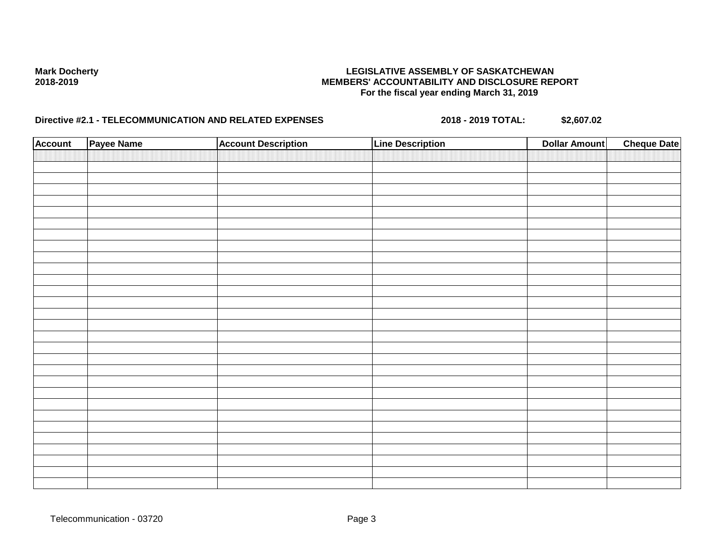| <b>Account</b> | Payee Name | <b>Account Description</b> | <b>Line Description</b> | <b>Dollar Amount</b> | <b>Cheque Date</b> |
|----------------|------------|----------------------------|-------------------------|----------------------|--------------------|
|                |            |                            |                         |                      |                    |
|                |            |                            |                         |                      |                    |
|                |            |                            |                         |                      |                    |
|                |            |                            |                         |                      |                    |
|                |            |                            |                         |                      |                    |
|                |            |                            |                         |                      |                    |
|                |            |                            |                         |                      |                    |
|                |            |                            |                         |                      |                    |
|                |            |                            |                         |                      |                    |
|                |            |                            |                         |                      |                    |
|                |            |                            |                         |                      |                    |
|                |            |                            |                         |                      |                    |
|                |            |                            |                         |                      |                    |
|                |            |                            |                         |                      |                    |
|                |            |                            |                         |                      |                    |
|                |            |                            |                         |                      |                    |
|                |            |                            |                         |                      |                    |
|                |            |                            |                         |                      |                    |
|                |            |                            |                         |                      |                    |
|                |            |                            |                         |                      |                    |
|                |            |                            |                         |                      |                    |
|                |            |                            |                         |                      |                    |
|                |            |                            |                         |                      |                    |
|                |            |                            |                         |                      |                    |
|                |            |                            |                         |                      |                    |
|                |            |                            |                         |                      |                    |
|                |            |                            |                         |                      |                    |
|                |            |                            |                         |                      |                    |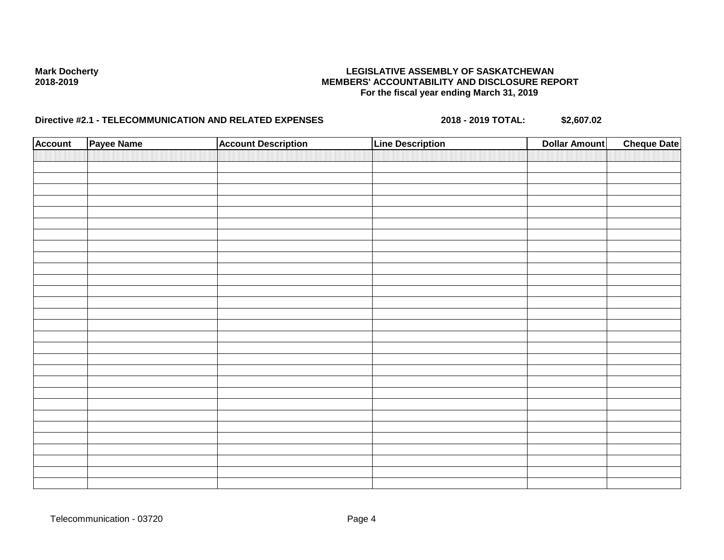| <b>Account</b> | Payee Name | <b>Account Description</b> | <b>Line Description</b> | <b>Dollar Amount</b> | <b>Cheque Date</b> |
|----------------|------------|----------------------------|-------------------------|----------------------|--------------------|
|                |            |                            |                         |                      |                    |
|                |            |                            |                         |                      |                    |
|                |            |                            |                         |                      |                    |
|                |            |                            |                         |                      |                    |
|                |            |                            |                         |                      |                    |
|                |            |                            |                         |                      |                    |
|                |            |                            |                         |                      |                    |
|                |            |                            |                         |                      |                    |
|                |            |                            |                         |                      |                    |
|                |            |                            |                         |                      |                    |
|                |            |                            |                         |                      |                    |
|                |            |                            |                         |                      |                    |
|                |            |                            |                         |                      |                    |
|                |            |                            |                         |                      |                    |
|                |            |                            |                         |                      |                    |
|                |            |                            |                         |                      |                    |
|                |            |                            |                         |                      |                    |
|                |            |                            |                         |                      |                    |
|                |            |                            |                         |                      |                    |
|                |            |                            |                         |                      |                    |
|                |            |                            |                         |                      |                    |
|                |            |                            |                         |                      |                    |
|                |            |                            |                         |                      |                    |
|                |            |                            |                         |                      |                    |
|                |            |                            |                         |                      |                    |
|                |            |                            |                         |                      |                    |
|                |            |                            |                         |                      |                    |
|                |            |                            |                         |                      |                    |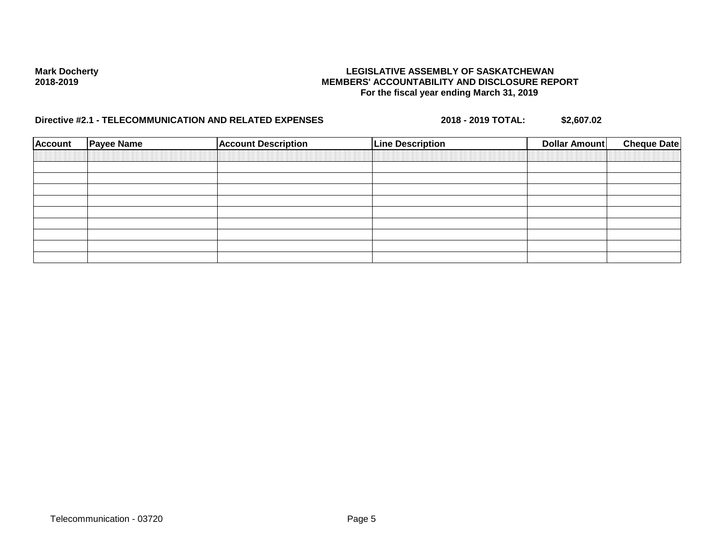| <b>Account</b> | <b>Payee Name</b> | <b>Account Description</b> | <b>Line Description</b> | Dollar Amount | <b>Cheque Date</b> |
|----------------|-------------------|----------------------------|-------------------------|---------------|--------------------|
|                |                   |                            |                         |               |                    |
|                |                   |                            |                         |               |                    |
|                |                   |                            |                         |               |                    |
|                |                   |                            |                         |               |                    |
|                |                   |                            |                         |               |                    |
|                |                   |                            |                         |               |                    |
|                |                   |                            |                         |               |                    |
|                |                   |                            |                         |               |                    |
|                |                   |                            |                         |               |                    |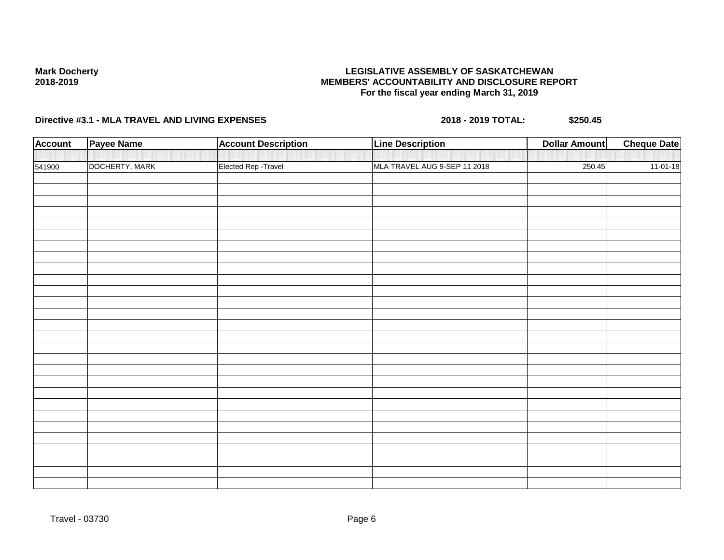## **LEGISLATIVE ASSEMBLY OF SASKATCHEWAN MEMBERS' ACCOUNTABILITY AND DISCLOSURE REPORT For the fiscal year ending March 31, 2019**

| <b>Account</b> | <b>Payee Name</b> | <b>Account Description</b> | <b>Line Description</b>      | <b>Dollar Amount</b> | <b>Cheque Date</b> |
|----------------|-------------------|----------------------------|------------------------------|----------------------|--------------------|
|                |                   |                            |                              |                      |                    |
| 541900         | DOCHERTY, MARK    | Elected Rep - Travel       | MLA TRAVEL AUG 9-SEP 11 2018 | 250.45               | $11-01-18$         |
|                |                   |                            |                              |                      |                    |
|                |                   |                            |                              |                      |                    |
|                |                   |                            |                              |                      |                    |
|                |                   |                            |                              |                      |                    |
|                |                   |                            |                              |                      |                    |
|                |                   |                            |                              |                      |                    |
|                |                   |                            |                              |                      |                    |
|                |                   |                            |                              |                      |                    |
|                |                   |                            |                              |                      |                    |
|                |                   |                            |                              |                      |                    |
|                |                   |                            |                              |                      |                    |
|                |                   |                            |                              |                      |                    |
|                |                   |                            |                              |                      |                    |
|                |                   |                            |                              |                      |                    |
|                |                   |                            |                              |                      |                    |
|                |                   |                            |                              |                      |                    |
|                |                   |                            |                              |                      |                    |
|                |                   |                            |                              |                      |                    |
|                |                   |                            |                              |                      |                    |
|                |                   |                            |                              |                      |                    |
|                |                   |                            |                              |                      |                    |
|                |                   |                            |                              |                      |                    |
|                |                   |                            |                              |                      |                    |
|                |                   |                            |                              |                      |                    |
|                |                   |                            |                              |                      |                    |
|                |                   |                            |                              |                      |                    |
|                |                   |                            |                              |                      |                    |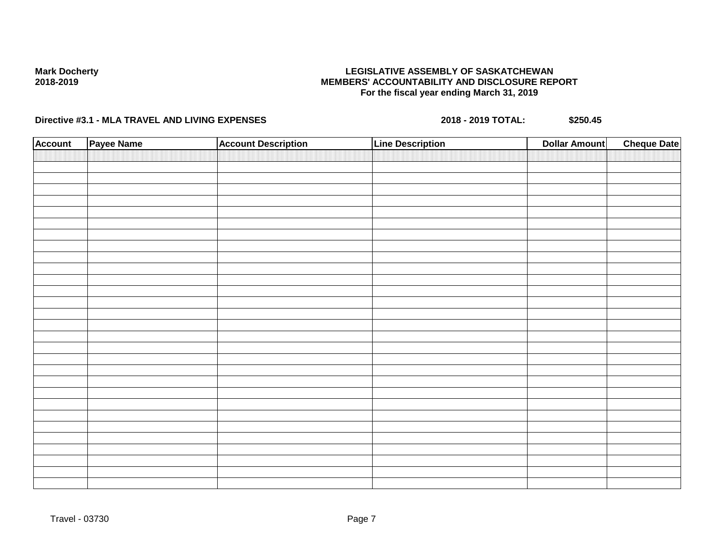## **LEGISLATIVE ASSEMBLY OF SASKATCHEWAN MEMBERS' ACCOUNTABILITY AND DISCLOSURE REPORT For the fiscal year ending March 31, 2019**

| <b>Account</b> | Payee Name | <b>Account Description</b> | <b>Line Description</b> | <b>Cheque Date</b><br><b>Dollar Amount</b> |
|----------------|------------|----------------------------|-------------------------|--------------------------------------------|
|                |            |                            |                         |                                            |
|                |            |                            |                         |                                            |
|                |            |                            |                         |                                            |
|                |            |                            |                         |                                            |
|                |            |                            |                         |                                            |
|                |            |                            |                         |                                            |
|                |            |                            |                         |                                            |
|                |            |                            |                         |                                            |
|                |            |                            |                         |                                            |
|                |            |                            |                         |                                            |
|                |            |                            |                         |                                            |
|                |            |                            |                         |                                            |
|                |            |                            |                         |                                            |
|                |            |                            |                         |                                            |
|                |            |                            |                         |                                            |
|                |            |                            |                         |                                            |
|                |            |                            |                         |                                            |
|                |            |                            |                         |                                            |
|                |            |                            |                         |                                            |
|                |            |                            |                         |                                            |
|                |            |                            |                         |                                            |
|                |            |                            |                         |                                            |
|                |            |                            |                         |                                            |
|                |            |                            |                         |                                            |
|                |            |                            |                         |                                            |
|                |            |                            |                         |                                            |
|                |            |                            |                         |                                            |
|                |            |                            |                         |                                            |
|                |            |                            |                         |                                            |
|                |            |                            |                         |                                            |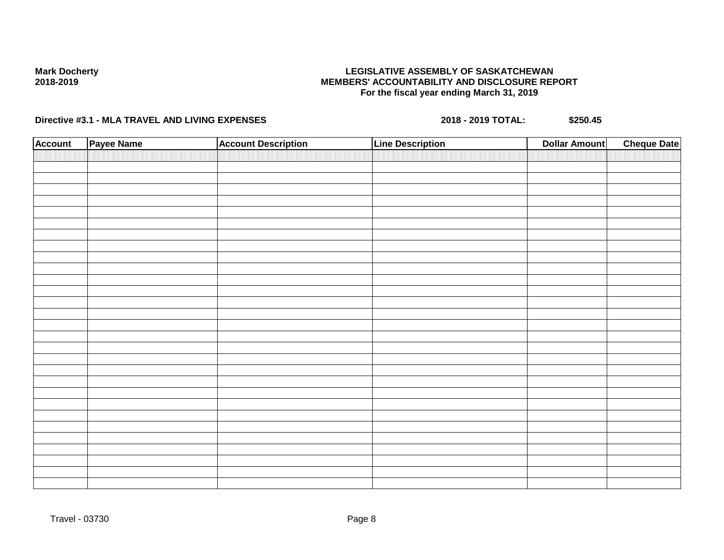## **LEGISLATIVE ASSEMBLY OF SASKATCHEWAN MEMBERS' ACCOUNTABILITY AND DISCLOSURE REPORT For the fiscal year ending March 31, 2019**

| <b>Account</b> | Payee Name | <b>Account Description</b> | <b>Line Description</b> | <b>Dollar Amount</b> | <b>Cheque Date</b> |
|----------------|------------|----------------------------|-------------------------|----------------------|--------------------|
|                |            |                            |                         |                      |                    |
|                |            |                            |                         |                      |                    |
|                |            |                            |                         |                      |                    |
|                |            |                            |                         |                      |                    |
|                |            |                            |                         |                      |                    |
|                |            |                            |                         |                      |                    |
|                |            |                            |                         |                      |                    |
|                |            |                            |                         |                      |                    |
|                |            |                            |                         |                      |                    |
|                |            |                            |                         |                      |                    |
|                |            |                            |                         |                      |                    |
|                |            |                            |                         |                      |                    |
|                |            |                            |                         |                      |                    |
|                |            |                            |                         |                      |                    |
|                |            |                            |                         |                      |                    |
|                |            |                            |                         |                      |                    |
|                |            |                            |                         |                      |                    |
|                |            |                            |                         |                      |                    |
|                |            |                            |                         |                      |                    |
|                |            |                            |                         |                      |                    |
|                |            |                            |                         |                      |                    |
|                |            |                            |                         |                      |                    |
|                |            |                            |                         |                      |                    |
|                |            |                            |                         |                      |                    |
|                |            |                            |                         |                      |                    |
|                |            |                            |                         |                      |                    |
|                |            |                            |                         |                      |                    |
|                |            |                            |                         |                      |                    |
|                |            |                            |                         |                      |                    |
|                |            |                            |                         |                      |                    |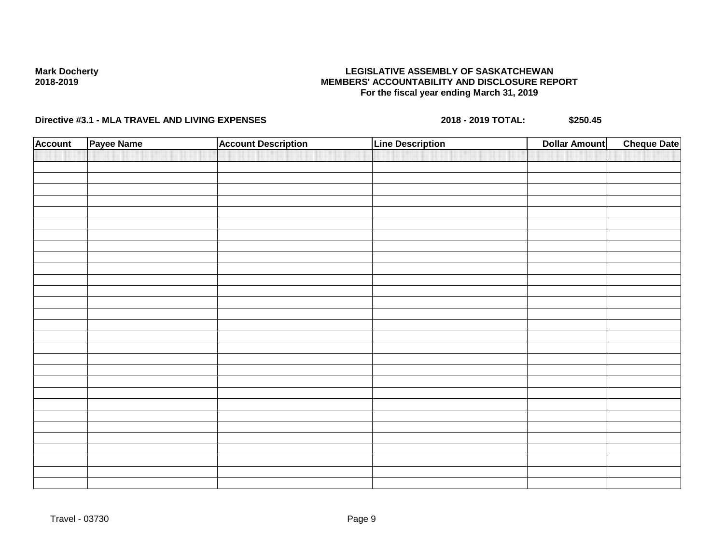## **LEGISLATIVE ASSEMBLY OF SASKATCHEWAN MEMBERS' ACCOUNTABILITY AND DISCLOSURE REPORT For the fiscal year ending March 31, 2019**

| <b>Account</b> | Payee Name | <b>Account Description</b> | <b>Line Description</b> | <b>Dollar Amount</b> | <b>Cheque Date</b> |
|----------------|------------|----------------------------|-------------------------|----------------------|--------------------|
|                |            |                            |                         |                      |                    |
|                |            |                            |                         |                      |                    |
|                |            |                            |                         |                      |                    |
|                |            |                            |                         |                      |                    |
|                |            |                            |                         |                      |                    |
|                |            |                            |                         |                      |                    |
|                |            |                            |                         |                      |                    |
|                |            |                            |                         |                      |                    |
|                |            |                            |                         |                      |                    |
|                |            |                            |                         |                      |                    |
|                |            |                            |                         |                      |                    |
|                |            |                            |                         |                      |                    |
|                |            |                            |                         |                      |                    |
|                |            |                            |                         |                      |                    |
|                |            |                            |                         |                      |                    |
|                |            |                            |                         |                      |                    |
|                |            |                            |                         |                      |                    |
|                |            |                            |                         |                      |                    |
|                |            |                            |                         |                      |                    |
|                |            |                            |                         |                      |                    |
|                |            |                            |                         |                      |                    |
|                |            |                            |                         |                      |                    |
|                |            |                            |                         |                      |                    |
|                |            |                            |                         |                      |                    |
|                |            |                            |                         |                      |                    |
|                |            |                            |                         |                      |                    |
|                |            |                            |                         |                      |                    |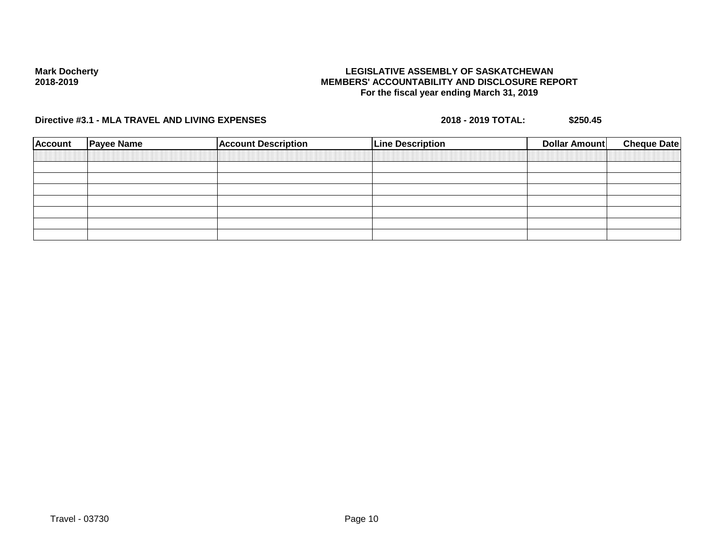## **LEGISLATIVE ASSEMBLY OF SASKATCHEWAN MEMBERS' ACCOUNTABILITY AND DISCLOSURE REPORT For the fiscal year ending March 31, 2019**

| <b>Account</b> | <b>Payee Name</b> | <b>Account Description</b> | <b>Line Description</b> | Dollar Amount | <b>Cheque Date</b> |
|----------------|-------------------|----------------------------|-------------------------|---------------|--------------------|
|                |                   |                            |                         |               |                    |
|                |                   |                            |                         |               |                    |
|                |                   |                            |                         |               |                    |
|                |                   |                            |                         |               |                    |
|                |                   |                            |                         |               |                    |
|                |                   |                            |                         |               |                    |
|                |                   |                            |                         |               |                    |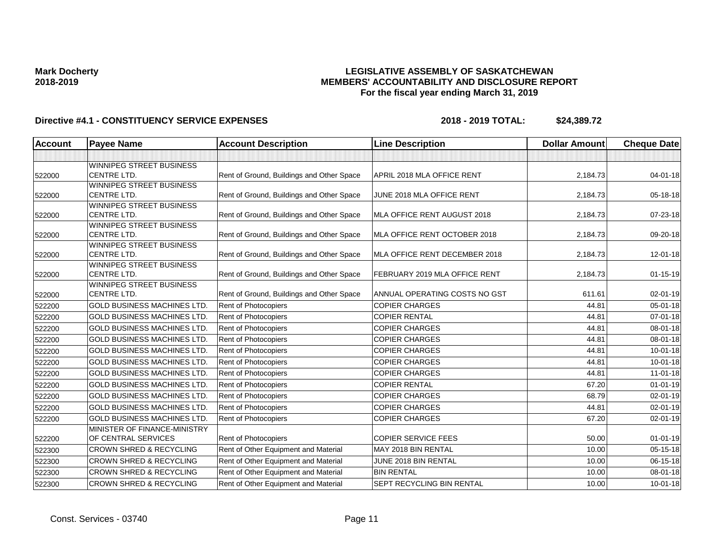## **LEGISLATIVE ASSEMBLY OF SASKATCHEWAN MEMBERS' ACCOUNTABILITY AND DISCLOSURE REPORT For the fiscal year ending March 31, 2019**

| <b>Account</b> | <b>Payee Name</b>                                     | <b>Account Description</b>                | <b>Line Description</b>          | <b>Dollar Amount</b> | <b>Cheque Date</b> |
|----------------|-------------------------------------------------------|-------------------------------------------|----------------------------------|----------------------|--------------------|
|                |                                                       |                                           |                                  |                      |                    |
|                | <b>WINNIPEG STREET BUSINESS</b>                       |                                           |                                  |                      |                    |
| 522000         | <b>CENTRE LTD.</b>                                    | Rent of Ground, Buildings and Other Space | APRIL 2018 MLA OFFICE RENT       | 2,184.73             | $04 - 01 - 18$     |
|                | <b>WINNIPEG STREET BUSINESS</b>                       |                                           |                                  |                      |                    |
| 522000         | <b>CENTRE LTD.</b>                                    | Rent of Ground, Buildings and Other Space | JUNE 2018 MLA OFFICE RENT        | 2,184.73             | 05-18-18           |
|                | <b>WINNIPEG STREET BUSINESS</b>                       |                                           |                                  |                      |                    |
| 522000         | <b>CENTRE LTD.</b>                                    | Rent of Ground, Buildings and Other Space | MLA OFFICE RENT AUGUST 2018      | 2,184.73             | 07-23-18           |
|                | <b>WINNIPEG STREET BUSINESS</b><br><b>CENTRE LTD.</b> |                                           |                                  |                      |                    |
| 522000         | <b>WINNIPEG STREET BUSINESS</b>                       | Rent of Ground, Buildings and Other Space | MLA OFFICE RENT OCTOBER 2018     | 2,184.73             | 09-20-18           |
| 522000         | <b>CENTRE LTD.</b>                                    | Rent of Ground, Buildings and Other Space | MLA OFFICE RENT DECEMBER 2018    | 2,184.73             | $12 - 01 - 18$     |
|                | WINNIPEG STREET BUSINESS                              |                                           |                                  |                      |                    |
| 522000         | <b>CENTRE LTD.</b>                                    | Rent of Ground, Buildings and Other Space | FEBRUARY 2019 MLA OFFICE RENT    | 2,184.73             | $01 - 15 - 19$     |
|                | <b>WINNIPEG STREET BUSINESS</b>                       |                                           |                                  |                      |                    |
| 522000         | <b>CENTRE LTD.</b>                                    | Rent of Ground, Buildings and Other Space | ANNUAL OPERATING COSTS NO GST    | 611.61               | 02-01-19           |
| 522200         | <b>GOLD BUSINESS MACHINES LTD.</b>                    | Rent of Photocopiers                      | <b>COPIER CHARGES</b>            | 44.81                | $05 - 01 - 18$     |
| 522200         | <b>GOLD BUSINESS MACHINES LTD.</b>                    | <b>Rent of Photocopiers</b>               | <b>COPIER RENTAL</b>             | 44.81                | $07 - 01 - 18$     |
| 522200         | <b>GOLD BUSINESS MACHINES LTD.</b>                    | Rent of Photocopiers                      | <b>COPIER CHARGES</b>            | 44.81                | 08-01-18           |
| 522200         | <b>GOLD BUSINESS MACHINES LTD</b>                     | Rent of Photocopiers                      | <b>COPIER CHARGES</b>            | 44.81                | 08-01-18           |
| 522200         | <b>GOLD BUSINESS MACHINES LTD.</b>                    | <b>Rent of Photocopiers</b>               | <b>COPIER CHARGES</b>            | 44.81                | $10 - 01 - 18$     |
| 522200         | <b>GOLD BUSINESS MACHINES LTD.</b>                    | <b>Rent of Photocopiers</b>               | <b>COPIER CHARGES</b>            | 44.81                | $10 - 01 - 18$     |
| 522200         | <b>GOLD BUSINESS MACHINES LTD.</b>                    | Rent of Photocopiers                      | <b>COPIER CHARGES</b>            | 44.81                | $11-01-18$         |
| 522200         | <b>GOLD BUSINESS MACHINES LTD.</b>                    | Rent of Photocopiers                      | <b>COPIER RENTAL</b>             | 67.20                | $01 - 01 - 19$     |
| 522200         | <b>GOLD BUSINESS MACHINES LTD.</b>                    | Rent of Photocopiers                      | <b>COPIER CHARGES</b>            | 68.79                | $02 - 01 - 19$     |
| 522200         | <b>GOLD BUSINESS MACHINES LTD</b>                     | Rent of Photocopiers                      | <b>COPIER CHARGES</b>            | 44.81                | 02-01-19           |
| 522200         | <b>GOLD BUSINESS MACHINES LTD.</b>                    | Rent of Photocopiers                      | <b>COPIER CHARGES</b>            | 67.20                | 02-01-19           |
|                | MINISTER OF FINANCE-MINISTRY                          |                                           |                                  |                      |                    |
| 522200         | OF CENTRAL SERVICES                                   | Rent of Photocopiers                      | <b>COPIER SERVICE FEES</b>       | 50.00                | $01 - 01 - 19$     |
| 522300         | <b>CROWN SHRED &amp; RECYCLING</b>                    | Rent of Other Equipment and Material      | MAY 2018 BIN RENTAL              | 10.00                | $05 - 15 - 18$     |
| 522300         | <b>CROWN SHRED &amp; RECYCLING</b>                    | Rent of Other Equipment and Material      | JUNE 2018 BIN RENTAL             | 10.00                | 06-15-18           |
| 522300         | <b>CROWN SHRED &amp; RECYCLING</b>                    | Rent of Other Equipment and Material      | <b>BIN RENTAL</b>                | 10.00                | 08-01-18           |
| 522300         | <b>CROWN SHRED &amp; RECYCLING</b>                    | Rent of Other Equipment and Material      | <b>SEPT RECYCLING BIN RENTAL</b> | 10.00                | $10 - 01 - 18$     |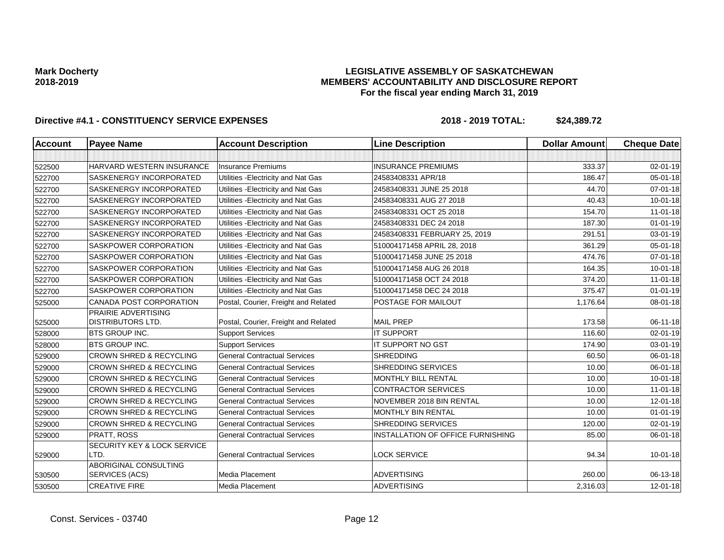## **LEGISLATIVE ASSEMBLY OF SASKATCHEWAN MEMBERS' ACCOUNTABILITY AND DISCLOSURE REPORT For the fiscal year ending March 31, 2019**

| <b>Account</b> | <b>Payee Name</b>                   | <b>Account Description</b>           | <b>Line Description</b>           | <b>Dollar Amount</b> | <b>Cheque Date</b> |
|----------------|-------------------------------------|--------------------------------------|-----------------------------------|----------------------|--------------------|
|                |                                     |                                      |                                   |                      |                    |
| 522500         | HARVARD WESTERN INSURANCE           | Insurance Premiums                   | <b>INSURANCE PREMIUMS</b>         | 333.37               | $02 - 01 - 19$     |
| 522700         | SASKENERGY INCORPORATED             | Utilities - Electricity and Nat Gas  | 24583408331 APR/18                | 186.47               | $05 - 01 - 18$     |
| 522700         | <b>SASKENERGY INCORPORATED</b>      | Utilities - Electricity and Nat Gas  | 24583408331 JUNE 25 2018          | 44.70                | 07-01-18           |
| 522700         | <b>SASKENERGY INCORPORATED</b>      | Utilities - Electricity and Nat Gas  | 24583408331 AUG 27 2018           | 40.43                | $10 - 01 - 18$     |
| 522700         | SASKENERGY INCORPORATED             | Utilities - Electricity and Nat Gas  | 24583408331 OCT 25 2018           | 154.70               | $11 - 01 - 18$     |
| 522700         | <b>SASKENERGY INCORPORATED</b>      | Utilities - Electricity and Nat Gas  | 24583408331 DEC 24 2018           | 187.30               | $01 - 01 - 19$     |
| 522700         | <b>SASKENERGY INCORPORATED</b>      | Utilities - Electricity and Nat Gas  | 24583408331 FEBRUARY 25, 2019     | 291.51               | 03-01-19           |
| 522700         | SASKPOWER CORPORATION               | Utilities - Electricity and Nat Gas  | 510004171458 APRIL 28, 2018       | 361.29               | 05-01-18           |
| 522700         | <b>SASKPOWER CORPORATION</b>        | Utilities - Electricity and Nat Gas  | 510004171458 JUNE 25 2018         | 474.76               | 07-01-18           |
| 522700         | <b>SASKPOWER CORPORATION</b>        | Utilities - Electricity and Nat Gas  | 510004171458 AUG 26 2018          | 164.35               | $10 - 01 - 18$     |
| 522700         | SASKPOWER CORPORATION               | Utilities - Electricity and Nat Gas  | 510004171458 OCT 24 2018          | 374.20               | $11-01-18$         |
| 522700         | <b>SASKPOWER CORPORATION</b>        | Utilities - Electricity and Nat Gas  | 510004171458 DEC 24 2018          | 375.47               | $01 - 01 - 19$     |
| 525000         | <b>CANADA POST CORPORATION</b>      | Postal, Courier, Freight and Related | POSTAGE FOR MAILOUT               | 1,176.64             | 08-01-18           |
|                | PRAIRIE ADVERTISING                 |                                      |                                   |                      |                    |
| 525000         | DISTRIBUTORS LTD.                   | Postal, Courier, Freight and Related | <b>MAIL PREP</b>                  | 173.58               | 06-11-18           |
| 528000         | <b>BTS GROUP INC.</b>               | <b>Support Services</b>              | <b>IT SUPPORT</b>                 | 116.60               | 02-01-19           |
| 528000         | <b>IBTS GROUP INC.</b>              | <b>Support Services</b>              | <b>IT SUPPORT NO GST</b>          | 174.90               | 03-01-19           |
| 529000         | <b>CROWN SHRED &amp; RECYCLING</b>  | <b>General Contractual Services</b>  | <b>SHREDDING</b>                  | 60.50                | 06-01-18           |
| 529000         | <b>CROWN SHRED &amp; RECYCLING</b>  | <b>General Contractual Services</b>  | SHREDDING SERVICES                | 10.00                | 06-01-18           |
| 529000         | <b>CROWN SHRED &amp; RECYCLING</b>  | <b>General Contractual Services</b>  | MONTHLY BILL RENTAL               | 10.00                | $10 - 01 - 18$     |
| 529000         | <b>CROWN SHRED &amp; RECYCLING</b>  | <b>General Contractual Services</b>  | <b>CONTRACTOR SERVICES</b>        | 10.00                | $11-01-18$         |
| 529000         | <b>CROWN SHRED &amp; RECYCLING</b>  | <b>General Contractual Services</b>  | NOVEMBER 2018 BIN RENTAL          | 10.00                | 12-01-18           |
| 529000         | <b>CROWN SHRED &amp; RECYCLING</b>  | <b>General Contractual Services</b>  | <b>MONTHLY BIN RENTAL</b>         | 10.00                | $01 - 01 - 19$     |
| 529000         | <b>CROWN SHRED &amp; RECYCLING</b>  | <b>General Contractual Services</b>  | SHREDDING SERVICES                | 120.00               | 02-01-19           |
| 529000         | <b>PRATT, ROSS</b>                  | <b>General Contractual Services</b>  | INSTALLATION OF OFFICE FURNISHING | 85.00                | 06-01-18           |
| 529000         | SECURITY KEY & LOCK SERVICE<br>LTD. | <b>General Contractual Services</b>  | <b>LOCK SERVICE</b>               | 94.34                | $10 - 01 - 18$     |
|                | ABORIGINAL CONSULTING               |                                      |                                   |                      |                    |
| 530500         | SERVICES (ACS)                      | <b>Media Placement</b>               | <b>ADVERTISING</b>                | 260.00               | 06-13-18           |
| 530500         | <b>CREATIVE FIRE</b>                | Media Placement                      | <b>ADVERTISING</b>                | 2,316.03             | 12-01-18           |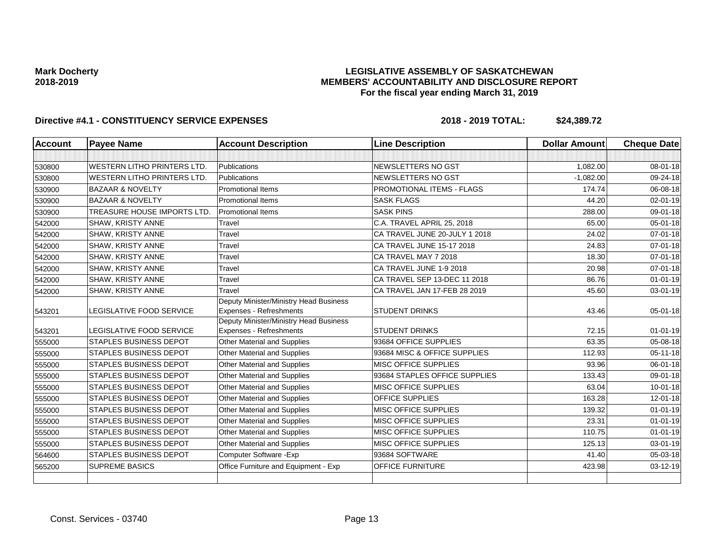## **LEGISLATIVE ASSEMBLY OF SASKATCHEWAN MEMBERS' ACCOUNTABILITY AND DISCLOSURE REPORT For the fiscal year ending March 31, 2019**

| <b>Account</b> | <b>Payee Name</b>                  | <b>Account Description</b>                                        | <b>Line Description</b>       | <b>Dollar Amount</b> | <b>Cheque Date</b> |
|----------------|------------------------------------|-------------------------------------------------------------------|-------------------------------|----------------------|--------------------|
|                |                                    |                                                                   |                               |                      |                    |
| 530800         | <b>WESTERN LITHO PRINTERS LTD.</b> | Publications                                                      | NEWSLETTERS NO GST            | 1,082.00             | $08 - 01 - 18$     |
| 530800         | <b>WESTERN LITHO PRINTERS LTD.</b> | Publications                                                      | NEWSLETTERS NO GST            | $-1,082.00$          | 09-24-18           |
| 530900         | <b>BAZAAR &amp; NOVELTY</b>        | <b>Promotional Items</b>                                          | PROMOTIONAL ITEMS - FLAGS     | 174.74               | 06-08-18           |
| 530900         | <b>BAZAAR &amp; NOVELTY</b>        | Promotional Items                                                 | <b>SASK FLAGS</b>             | 44.20                | 02-01-19           |
| 530900         | TREASURE HOUSE IMPORTS LTD.        | <b>Promotional Items</b>                                          | <b>SASK PINS</b>              | 288.00               | 09-01-18           |
| 542000         | <b>SHAW, KRISTY ANNE</b>           | Travel                                                            | C.A. TRAVEL APRIL 25, 2018    | 65.00                | 05-01-18           |
| 542000         | SHAW, KRISTY ANNE                  | Travel                                                            | CA TRAVEL JUNE 20-JULY 1 2018 | 24.02                | 07-01-18           |
| 542000         | <b>SHAW, KRISTY ANNE</b>           | Travel                                                            | CA TRAVEL JUNE 15-17 2018     | 24.83                | $07 - 01 - 18$     |
| 542000         | SHAW, KRISTY ANNE                  | Travel                                                            | CA TRAVEL MAY 7 2018          | 18.30                | $07 - 01 - 18$     |
| 542000         | SHAW, KRISTY ANNE                  | Travel                                                            | CA TRAVEL JUNE 1-9 2018       | 20.98                | 07-01-18           |
| 542000         | SHAW, KRISTY ANNE                  | Travel                                                            | CA TRAVEL SEP 13-DEC 11 2018  | 86.76                | $01 - 01 - 19$     |
| 542000         | SHAW, KRISTY ANNE                  | Travel                                                            | CA TRAVEL JAN 17-FEB 28 2019  | 45.60                | $03 - 01 - 19$     |
| 543201         | LEGISLATIVE FOOD SERVICE           | Deputy Minister/Ministry Head Business<br>Expenses - Refreshments | <b>STUDENT DRINKS</b>         | 43.46                | $05 - 01 - 18$     |
| 543201         | LEGISLATIVE FOOD SERVICE           | Deputy Minister/Ministry Head Business<br>Expenses - Refreshments | <b>STUDENT DRINKS</b>         | 72.15                | $01 - 01 - 19$     |
| 555000         | <b>STAPLES BUSINESS DEPOT</b>      | <b>Other Material and Supplies</b>                                | 93684 OFFICE SUPPLIES         | 63.35                | 05-08-18           |
| 555000         | <b>STAPLES BUSINESS DEPOT</b>      | Other Material and Supplies                                       | 93684 MISC & OFFICE SUPPLIES  | 112.93               | $05 - 11 - 18$     |
| 555000         | <b>STAPLES BUSINESS DEPOT</b>      | <b>Other Material and Supplies</b>                                | <b>MISC OFFICE SUPPLIES</b>   | 93.96                | 06-01-18           |
| 555000         | <b>STAPLES BUSINESS DEPOT</b>      | Other Material and Supplies                                       | 93684 STAPLES OFFICE SUPPLIES | 133.43               | 09-01-18           |
| 555000         | <b>STAPLES BUSINESS DEPOT</b>      | Other Material and Supplies                                       | <b>MISC OFFICE SUPPLIES</b>   | 63.04                | $10 - 01 - 18$     |
| 555000         | <b>STAPLES BUSINESS DEPOT</b>      | <b>Other Material and Supplies</b>                                | OFFICE SUPPLIES               | 163.28               | 12-01-18           |
| 555000         | <b>STAPLES BUSINESS DEPOT</b>      | Other Material and Supplies                                       | <b>MISC OFFICE SUPPLIES</b>   | 139.32               | $01 - 01 - 19$     |
| 555000         | <b>STAPLES BUSINESS DEPOT</b>      | <b>Other Material and Supplies</b>                                | <b>MISC OFFICE SUPPLIES</b>   | 23.31                | $01 - 01 - 19$     |
| 555000         | <b>STAPLES BUSINESS DEPOT</b>      | Other Material and Supplies                                       | MISC OFFICE SUPPLIES          | 110.75               | $01 - 01 - 19$     |
| 555000         | <b>STAPLES BUSINESS DEPOT</b>      | Other Material and Supplies                                       | <b>MISC OFFICE SUPPLIES</b>   | 125.13               | 03-01-19           |
| 564600         | <b>STAPLES BUSINESS DEPOT</b>      | Computer Software - Exp                                           | 93684 SOFTWARE                | 41.40                | 05-03-18           |
| 565200         | <b>SUPREME BASICS</b>              | Office Furniture and Equipment - Exp                              | <b>OFFICE FURNITURE</b>       | 423.98               | 03-12-19           |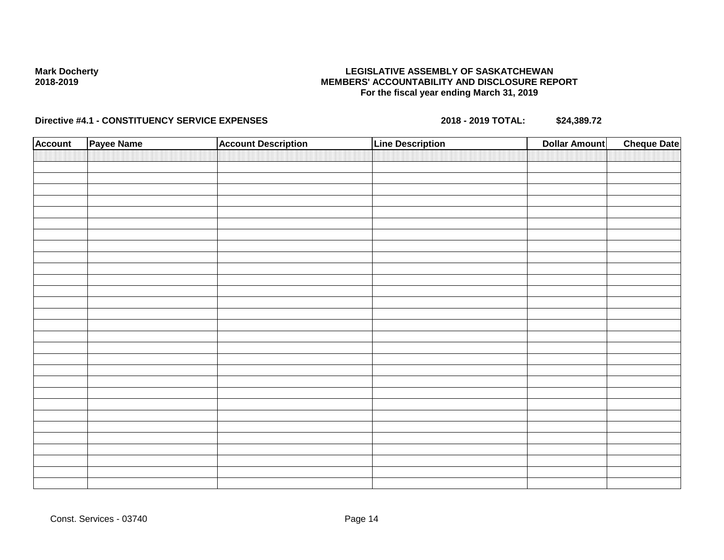## **LEGISLATIVE ASSEMBLY OF SASKATCHEWAN MEMBERS' ACCOUNTABILITY AND DISCLOSURE REPORT For the fiscal year ending March 31, 2019**

| <b>Account</b> | Payee Name | <b>Account Description</b> | <b>Line Description</b> | <b>Dollar Amount</b> | <b>Cheque Date</b> |
|----------------|------------|----------------------------|-------------------------|----------------------|--------------------|
|                |            |                            |                         |                      |                    |
|                |            |                            |                         |                      |                    |
|                |            |                            |                         |                      |                    |
|                |            |                            |                         |                      |                    |
|                |            |                            |                         |                      |                    |
|                |            |                            |                         |                      |                    |
|                |            |                            |                         |                      |                    |
|                |            |                            |                         |                      |                    |
|                |            |                            |                         |                      |                    |
|                |            |                            |                         |                      |                    |
|                |            |                            |                         |                      |                    |
|                |            |                            |                         |                      |                    |
|                |            |                            |                         |                      |                    |
|                |            |                            |                         |                      |                    |
|                |            |                            |                         |                      |                    |
|                |            |                            |                         |                      |                    |
|                |            |                            |                         |                      |                    |
|                |            |                            |                         |                      |                    |
|                |            |                            |                         |                      |                    |
|                |            |                            |                         |                      |                    |
|                |            |                            |                         |                      |                    |
|                |            |                            |                         |                      |                    |
|                |            |                            |                         |                      |                    |
|                |            |                            |                         |                      |                    |
|                |            |                            |                         |                      |                    |
|                |            |                            |                         |                      |                    |
|                |            |                            |                         |                      |                    |
|                |            |                            |                         |                      |                    |
|                |            |                            |                         |                      |                    |
|                |            |                            |                         |                      |                    |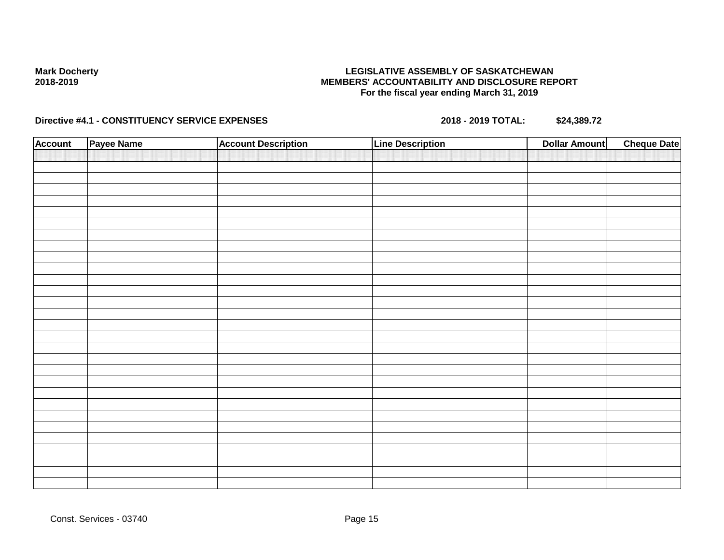## **LEGISLATIVE ASSEMBLY OF SASKATCHEWAN MEMBERS' ACCOUNTABILITY AND DISCLOSURE REPORT For the fiscal year ending March 31, 2019**

| <b>Account</b> | Payee Name | <b>Account Description</b> | Line Description | <b>Dollar Amount</b> | <b>Cheque Date</b> |
|----------------|------------|----------------------------|------------------|----------------------|--------------------|
|                |            |                            |                  |                      |                    |
|                |            |                            |                  |                      |                    |
|                |            |                            |                  |                      |                    |
|                |            |                            |                  |                      |                    |
|                |            |                            |                  |                      |                    |
|                |            |                            |                  |                      |                    |
|                |            |                            |                  |                      |                    |
|                |            |                            |                  |                      |                    |
|                |            |                            |                  |                      |                    |
|                |            |                            |                  |                      |                    |
|                |            |                            |                  |                      |                    |
|                |            |                            |                  |                      |                    |
|                |            |                            |                  |                      |                    |
|                |            |                            |                  |                      |                    |
|                |            |                            |                  |                      |                    |
|                |            |                            |                  |                      |                    |
|                |            |                            |                  |                      |                    |
|                |            |                            |                  |                      |                    |
|                |            |                            |                  |                      |                    |
|                |            |                            |                  |                      |                    |
|                |            |                            |                  |                      |                    |
|                |            |                            |                  |                      |                    |
|                |            |                            |                  |                      |                    |
|                |            |                            |                  |                      |                    |
|                |            |                            |                  |                      |                    |
|                |            |                            |                  |                      |                    |
|                |            |                            |                  |                      |                    |
|                |            |                            |                  |                      |                    |
|                |            |                            |                  |                      |                    |
|                |            |                            |                  |                      |                    |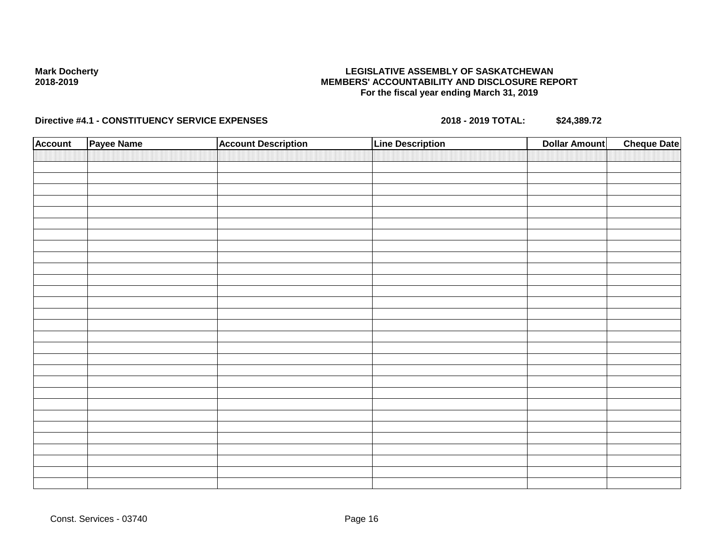## **LEGISLATIVE ASSEMBLY OF SASKATCHEWAN MEMBERS' ACCOUNTABILITY AND DISCLOSURE REPORT For the fiscal year ending March 31, 2019**

| <b>Account</b> | Payee Name | <b>Account Description</b> | <b>Line Description</b> | <b>Cheque Date</b><br><b>Dollar Amount</b> |
|----------------|------------|----------------------------|-------------------------|--------------------------------------------|
|                |            |                            |                         |                                            |
|                |            |                            |                         |                                            |
|                |            |                            |                         |                                            |
|                |            |                            |                         |                                            |
|                |            |                            |                         |                                            |
|                |            |                            |                         |                                            |
|                |            |                            |                         |                                            |
|                |            |                            |                         |                                            |
|                |            |                            |                         |                                            |
|                |            |                            |                         |                                            |
|                |            |                            |                         |                                            |
|                |            |                            |                         |                                            |
|                |            |                            |                         |                                            |
|                |            |                            |                         |                                            |
|                |            |                            |                         |                                            |
|                |            |                            |                         |                                            |
|                |            |                            |                         |                                            |
|                |            |                            |                         |                                            |
|                |            |                            |                         |                                            |
|                |            |                            |                         |                                            |
|                |            |                            |                         |                                            |
|                |            |                            |                         |                                            |
|                |            |                            |                         |                                            |
|                |            |                            |                         |                                            |
|                |            |                            |                         |                                            |
|                |            |                            |                         |                                            |
|                |            |                            |                         |                                            |
|                |            |                            |                         |                                            |
|                |            |                            |                         |                                            |
|                |            |                            |                         |                                            |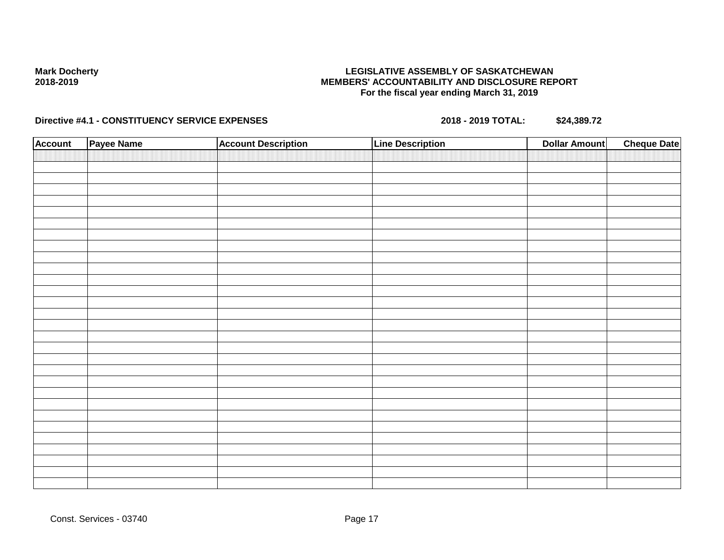## **LEGISLATIVE ASSEMBLY OF SASKATCHEWAN MEMBERS' ACCOUNTABILITY AND DISCLOSURE REPORT For the fiscal year ending March 31, 2019**

| <b>Account</b> | Payee Name | <b>Account Description</b> | <b>Line Description</b> | <b>Cheque Date</b><br><b>Dollar Amount</b> |
|----------------|------------|----------------------------|-------------------------|--------------------------------------------|
|                |            |                            |                         |                                            |
|                |            |                            |                         |                                            |
|                |            |                            |                         |                                            |
|                |            |                            |                         |                                            |
|                |            |                            |                         |                                            |
|                |            |                            |                         |                                            |
|                |            |                            |                         |                                            |
|                |            |                            |                         |                                            |
|                |            |                            |                         |                                            |
|                |            |                            |                         |                                            |
|                |            |                            |                         |                                            |
|                |            |                            |                         |                                            |
|                |            |                            |                         |                                            |
|                |            |                            |                         |                                            |
|                |            |                            |                         |                                            |
|                |            |                            |                         |                                            |
|                |            |                            |                         |                                            |
|                |            |                            |                         |                                            |
|                |            |                            |                         |                                            |
|                |            |                            |                         |                                            |
|                |            |                            |                         |                                            |
|                |            |                            |                         |                                            |
|                |            |                            |                         |                                            |
|                |            |                            |                         |                                            |
|                |            |                            |                         |                                            |
|                |            |                            |                         |                                            |
|                |            |                            |                         |                                            |
|                |            |                            |                         |                                            |
|                |            |                            |                         |                                            |
|                |            |                            |                         |                                            |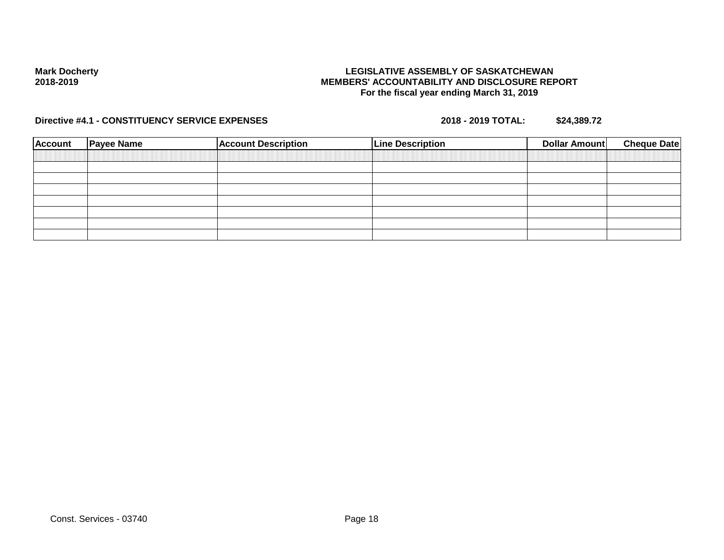## **LEGISLATIVE ASSEMBLY OF SASKATCHEWAN MEMBERS' ACCOUNTABILITY AND DISCLOSURE REPORT For the fiscal year ending March 31, 2019**

| <b>Account</b> | <b>Payee Name</b> | <b>Account Description</b> | <b>Line Description</b> | Dollar Amount | <b>Cheque Date</b> |
|----------------|-------------------|----------------------------|-------------------------|---------------|--------------------|
|                |                   |                            |                         |               |                    |
|                |                   |                            |                         |               |                    |
|                |                   |                            |                         |               |                    |
|                |                   |                            |                         |               |                    |
|                |                   |                            |                         |               |                    |
|                |                   |                            |                         |               |                    |
|                |                   |                            |                         |               |                    |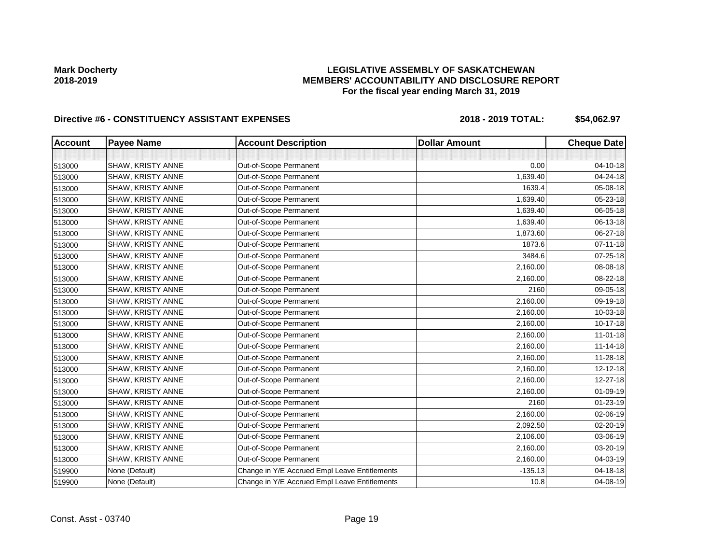## **LEGISLATIVE ASSEMBLY OF SASKATCHEWAN MEMBERS' ACCOUNTABILITY AND DISCLOSURE REPORT For the fiscal year ending March 31, 2019**

| <b>Account</b> | <b>Payee Name</b>        | <b>Account Description</b>                    | <b>Dollar Amount</b> | <b>Cheque Date</b> |
|----------------|--------------------------|-----------------------------------------------|----------------------|--------------------|
|                |                          |                                               |                      |                    |
| 513000         | SHAW, KRISTY ANNE        | Out-of-Scope Permanent                        | 0.00                 | 04-10-18           |
| 513000         | SHAW, KRISTY ANNE        | Out-of-Scope Permanent                        | 1,639.40             | 04-24-18           |
| 513000         | SHAW, KRISTY ANNE        | Out-of-Scope Permanent                        | 1639.4               | 05-08-18           |
| 513000         | SHAW, KRISTY ANNE        | Out-of-Scope Permanent                        | 1,639.40             | 05-23-18           |
| 513000         | SHAW, KRISTY ANNE        | Out-of-Scope Permanent                        | 1,639.40             | 06-05-18           |
| 513000         | SHAW, KRISTY ANNE        | Out-of-Scope Permanent                        | 1,639.40             | 06-13-18           |
| 513000         | SHAW, KRISTY ANNE        | Out-of-Scope Permanent                        | 1,873.60             | 06-27-18           |
| 513000         | SHAW, KRISTY ANNE        | Out-of-Scope Permanent                        | 1873.6               | $07 - 11 - 18$     |
| 513000         | SHAW, KRISTY ANNE        | Out-of-Scope Permanent                        | 3484.6               | 07-25-18           |
| 513000         | SHAW, KRISTY ANNE        | Out-of-Scope Permanent                        | 2,160.00             | 08-08-18           |
| 513000         | SHAW, KRISTY ANNE        | Out-of-Scope Permanent                        | 2,160.00             | 08-22-18           |
| 513000         | SHAW, KRISTY ANNE        | Out-of-Scope Permanent                        | 2160                 | 09-05-18           |
| 513000         | SHAW, KRISTY ANNE        | Out-of-Scope Permanent                        | 2,160.00             | 09-19-18           |
| 513000         | SHAW, KRISTY ANNE        | Out-of-Scope Permanent                        | 2,160.00             | 10-03-18           |
| 513000         | SHAW, KRISTY ANNE        | Out-of-Scope Permanent                        | 2,160.00             | 10-17-18           |
| 513000         | SHAW, KRISTY ANNE        | Out-of-Scope Permanent                        | 2,160.00             | $11 - 01 - 18$     |
| 513000         | <b>SHAW, KRISTY ANNE</b> | Out-of-Scope Permanent                        | 2,160.00             | $11 - 14 - 18$     |
| 513000         | SHAW, KRISTY ANNE        | Out-of-Scope Permanent                        | 2,160.00             | 11-28-18           |
| 513000         | SHAW, KRISTY ANNE        | Out-of-Scope Permanent                        | 2,160.00             | $12 - 12 - 18$     |
| 513000         | SHAW, KRISTY ANNE        | Out-of-Scope Permanent                        | 2,160.00             | 12-27-18           |
| 513000         | SHAW, KRISTY ANNE        | Out-of-Scope Permanent                        | 2,160.00             | 01-09-19           |
| 513000         | SHAW, KRISTY ANNE        | Out-of-Scope Permanent                        | 2160                 | $01 - 23 - 19$     |
| 513000         | SHAW, KRISTY ANNE        | Out-of-Scope Permanent                        | 2,160.00             | 02-06-19           |
| 513000         | SHAW, KRISTY ANNE        | Out-of-Scope Permanent                        | 2,092.50             | 02-20-19           |
| 513000         | SHAW, KRISTY ANNE        | Out-of-Scope Permanent                        | 2,106.00             | 03-06-19           |
| 513000         | SHAW, KRISTY ANNE        | Out-of-Scope Permanent                        | 2,160.00             | 03-20-19           |
| 513000         | SHAW, KRISTY ANNE        | Out-of-Scope Permanent                        | 2,160.00             | 04-03-19           |
| 519900         | None (Default)           | Change in Y/E Accrued Empl Leave Entitlements | $-135.13$            | 04-18-18           |
| 519900         | None (Default)           | Change in Y/E Accrued Empl Leave Entitlements | 10.8                 | 04-08-19           |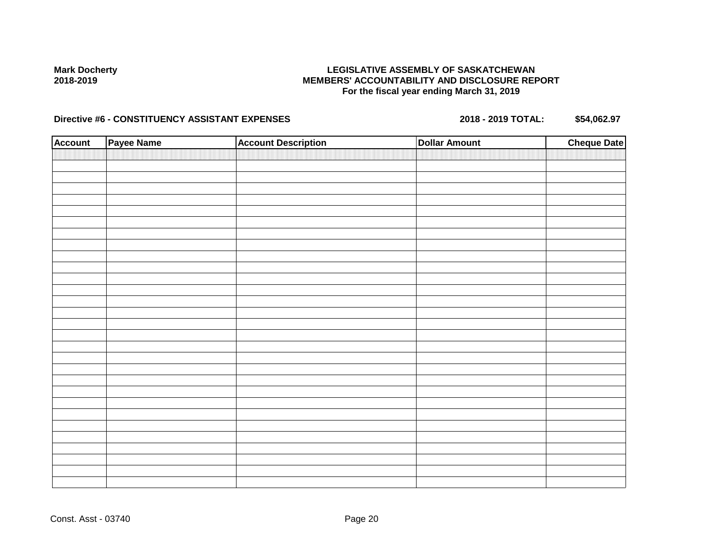## **LEGISLATIVE ASSEMBLY OF SASKATCHEWAN MEMBERS' ACCOUNTABILITY AND DISCLOSURE REPORT For the fiscal year ending March 31, 2019**

| <b>Account</b> | Payee Name | <b>Account Description</b> | <b>Dollar Amount</b> | <b>Cheque Date</b> |
|----------------|------------|----------------------------|----------------------|--------------------|
|                |            |                            |                      |                    |
|                |            |                            |                      |                    |
|                |            |                            |                      |                    |
|                |            |                            |                      |                    |
|                |            |                            |                      |                    |
|                |            |                            |                      |                    |
|                |            |                            |                      |                    |
|                |            |                            |                      |                    |
|                |            |                            |                      |                    |
|                |            |                            |                      |                    |
|                |            |                            |                      |                    |
|                |            |                            |                      |                    |
|                |            |                            |                      |                    |
|                |            |                            |                      |                    |
|                |            |                            |                      |                    |
|                |            |                            |                      |                    |
|                |            |                            |                      |                    |
|                |            |                            |                      |                    |
|                |            |                            |                      |                    |
|                |            |                            |                      |                    |
|                |            |                            |                      |                    |
|                |            |                            |                      |                    |
|                |            |                            |                      |                    |
|                |            |                            |                      |                    |
|                |            |                            |                      |                    |
|                |            |                            |                      |                    |
|                |            |                            |                      |                    |
|                |            |                            |                      |                    |
|                |            |                            |                      |                    |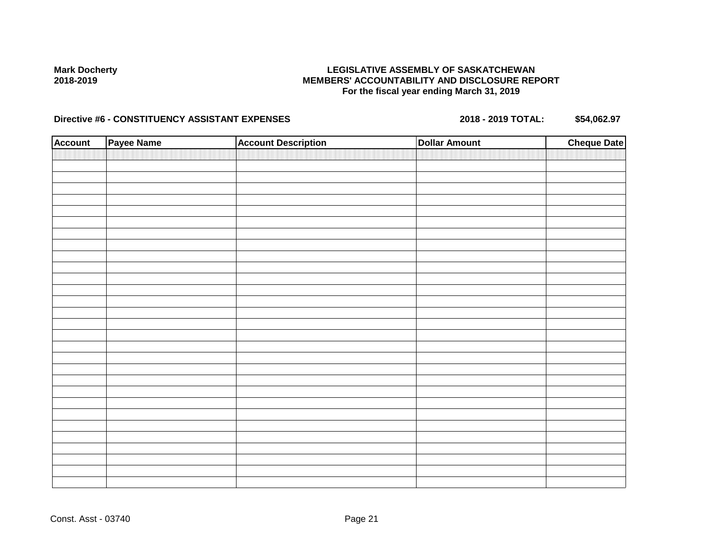## **LEGISLATIVE ASSEMBLY OF SASKATCHEWAN MEMBERS' ACCOUNTABILITY AND DISCLOSURE REPORT For the fiscal year ending March 31, 2019**

| <b>Account</b> | Payee Name | <b>Account Description</b> | <b>Dollar Amount</b> | <b>Cheque Date</b> |
|----------------|------------|----------------------------|----------------------|--------------------|
|                |            |                            |                      |                    |
|                |            |                            |                      |                    |
|                |            |                            |                      |                    |
|                |            |                            |                      |                    |
|                |            |                            |                      |                    |
|                |            |                            |                      |                    |
|                |            |                            |                      |                    |
|                |            |                            |                      |                    |
|                |            |                            |                      |                    |
|                |            |                            |                      |                    |
|                |            |                            |                      |                    |
|                |            |                            |                      |                    |
|                |            |                            |                      |                    |
|                |            |                            |                      |                    |
|                |            |                            |                      |                    |
|                |            |                            |                      |                    |
|                |            |                            |                      |                    |
|                |            |                            |                      |                    |
|                |            |                            |                      |                    |
|                |            |                            |                      |                    |
|                |            |                            |                      |                    |
|                |            |                            |                      |                    |
|                |            |                            |                      |                    |
|                |            |                            |                      |                    |
|                |            |                            |                      |                    |
|                |            |                            |                      |                    |
|                |            |                            |                      |                    |
|                |            |                            |                      |                    |
|                |            |                            |                      |                    |